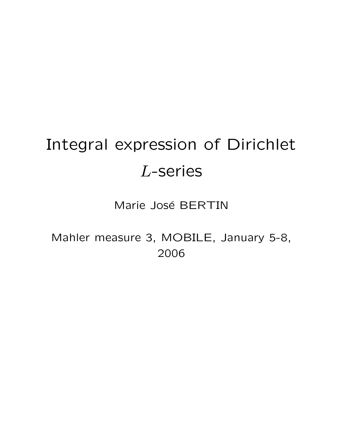# Integral expression of Dirichlet L-series

Marie José BERTIN

Mahler measure 3, MOBILE, January 5-8, 2006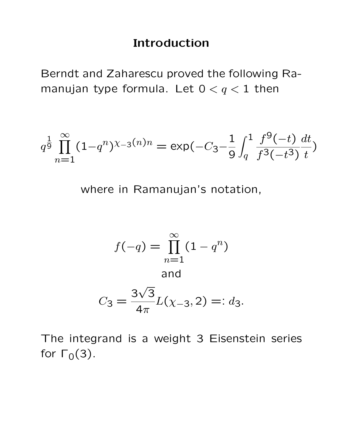#### Introduction

Berndt and Zaharescu proved the following Ramanujan type formula. Let  $0 < q < 1$  then

$$
q^{\frac{1}{9}} \prod_{n=1}^{\infty} (1 - q^n)^{\chi_{-3}(n)n} = \exp(-C_3 - \frac{1}{9} \int_q^1 \frac{f^9(-t)}{f^3(-t^3)} \frac{dt}{t})
$$

where in Ramanujan's notation,

$$
f(-q) = \prod_{n=1}^{\infty} (1 - q^n)
$$
  
and  

$$
3\sqrt{3} \cdot \frac{3\sqrt{3}}{16} = 2
$$

$$
C_3 = \frac{3\sqrt{5}}{4\pi}L(\chi_{-3}, 2) =: d_3.
$$

The integrand is a weight 3 Eisenstein series for  $\Gamma_0(3)$ .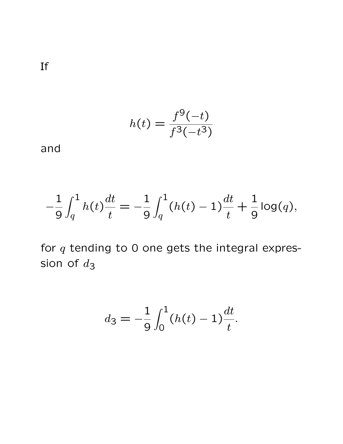If

$$
h(t) = \frac{f^9(-t)}{f^3(-t^3)}
$$

and

$$
-\frac{1}{9} \int_{q}^{1} h(t) \frac{dt}{t} = -\frac{1}{9} \int_{q}^{1} (h(t) - 1) \frac{dt}{t} + \frac{1}{9} \log(q),
$$

for  $q$  tending to 0 one gets the integral expression of  $d_3$ 

$$
d_3 = -\frac{1}{9} \int_0^1 (h(t) - 1) \frac{dt}{t}.
$$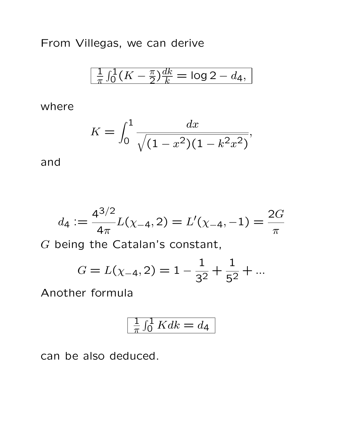From Villegas, we can derive

$$
\frac{1}{\pi} \int_0^1 (K - \frac{\pi}{2}) \frac{dk}{k} = \log 2 - d_4,
$$

where

$$
K = \int_0^1 \frac{dx}{\sqrt{(1 - x^2)(1 - k^2 x^2)}},
$$

and

$$
d_4 := \frac{4^{3/2}}{4\pi} L(\chi_{-4}, 2) = L'(\chi_{-4}, -1) = \frac{2G}{\pi}
$$

G being the Catalan's constant,

$$
G = L(\chi_{-4}, 2) = 1 - \frac{1}{3^2} + \frac{1}{5^2} + \dots
$$

Another formula

$$
\frac{1}{\pi} \int_0^1 K dk = d_4
$$

can be also deduced.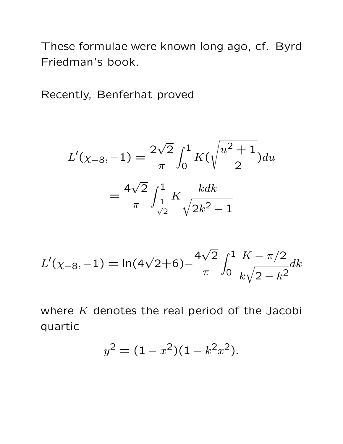These formulae were known long ago, cf. Byrd Friedman's book.

Recently, Benferhat proved

$$
L'(\chi_{-8}, -1) = \frac{2\sqrt{2}}{\pi} \int_0^1 K(\sqrt{\frac{u^2+1}{2}}) du
$$
  
=  $\frac{4\sqrt{2}}{\pi} \int_{\frac{1}{\sqrt{2}}}^1 K \frac{k dk}{\sqrt{2k^2-1}}$ 

$$
L'(\chi_{-8}, -1) = \ln(4\sqrt{2} + 6) - \frac{4\sqrt{2}}{\pi} \int_0^1 \frac{K - \pi/2}{k\sqrt{2 - k^2}} dk
$$

where  $K$  denotes the real period of the Jacobi quartic

$$
y^2 = (1 - x^2)(1 - k^2 x^2).
$$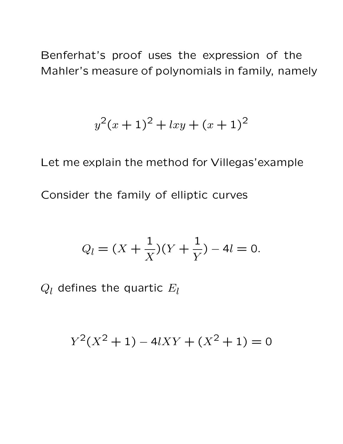Benferhat's proof uses the expression of the Mahler's measure of polynomials in family, namely

$$
y^2(x+1)^2 + lxy + (x+1)^2
$$

Let me explain the method for Villegas'example Consider the family of elliptic curves

$$
Q_l = (X + \frac{1}{X})(Y + \frac{1}{Y}) - 4l = 0.
$$

 $Q_l$  defines the quartic  $E_l$ 

$$
Y^2(X^2 + 1) - 4lXY + (X^2 + 1) = 0
$$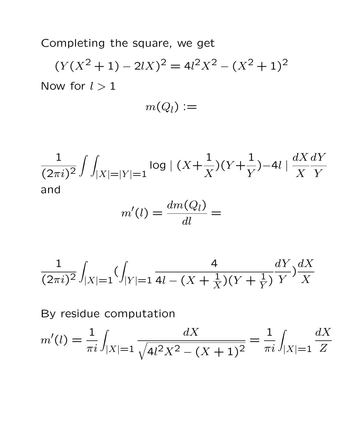Completing the square, we get

 $(Y(X<sup>2</sup>+1) - 2IX)<sup>2</sup> = 4l<sup>2</sup>X<sup>2</sup> - (X<sup>2</sup>+1)<sup>2</sup>$ Now for  $l > 1$ 

$$
m(Q_l):=
$$

$$
\frac{1}{(2\pi i)^2} \int \int_{|X|=|Y|=1} \log |(X+\frac{1}{X})(Y+\frac{1}{Y})-4| \frac{dX}{X} \frac{dY}{Y}
$$
  
and

$$
m'(l) = \frac{dm(Q_l)}{dl} =
$$

$$
\frac{1}{(2\pi i)^2} \int_{|X|=1} \left( \int_{|Y|=1} \frac{4}{4l - (X + \frac{1}{X})(Y + \frac{1}{Y})} \frac{dY}{Y} \right) \frac{dX}{X}
$$

By residue computation

$$
m'(l) = \frac{1}{\pi i} \int_{|X|=1} \frac{dX}{\sqrt{4l^2X^2 - (X+1)^2}} = \frac{1}{\pi i} \int_{|X|=1} \frac{dX}{Z}
$$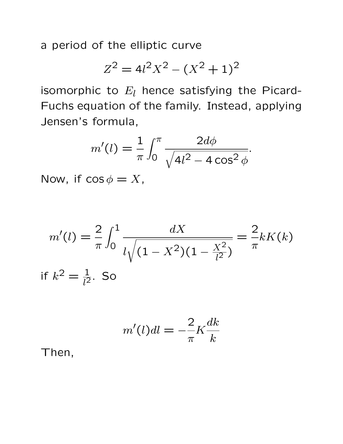a period of the elliptic curve

$$
Z^2 = 4l^2X^2 - (X^2 + 1)^2
$$

isomorphic to  $E_l$  hence satisfying the Picard-Fuchs equation of the family. Instead, applying Jensen's formula,

$$
m'(l) = \frac{1}{\pi} \int_0^{\pi} \frac{2d\phi}{\sqrt{4l^2 - 4\cos^2 \phi}}.
$$

Now, if  $\cos \phi = X$ ,

$$
m'(l) = \frac{2}{\pi} \int_0^1 \frac{dX}{l\sqrt{(1 - X^2)(1 - \frac{X^2}{l^2})}} = \frac{2}{\pi} kK(k)
$$
  
if  $k^2 = \frac{1}{l^2}$ . So

$$
m'(l)dl = -\frac{2}{\pi}K\frac{dk}{k}
$$

Then,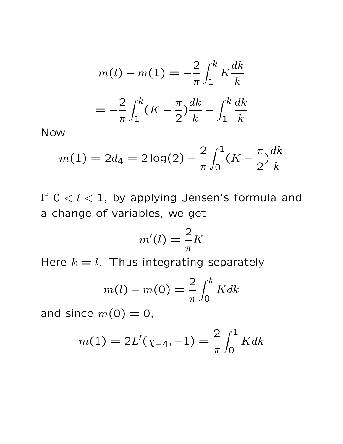$$
m(l) - m(1) = -\frac{2}{\pi} \int_{1}^{k} K \frac{dk}{k}
$$

$$
= -\frac{2}{\pi} \int_{1}^{k} (K - \frac{\pi}{2}) \frac{dk}{k} - \int_{1}^{k} \frac{dk}{k}
$$

Now

$$
m(1) = 2d_4 = 2\log(2) - \frac{2}{\pi} \int_0^1 (K - \frac{\pi}{2}) \frac{dk}{k}
$$

If  $0 < l < 1$ , by applying Jensen's formula and a change of variables, we get

$$
m'(l) = \frac{2}{\pi}K
$$

Here  $k = l$ . Thus integrating separately

$$
m(l) - m(0) = \frac{2}{\pi} \int_0^k K dk
$$

and since  $m(0) = 0$ ,

$$
m(1) = 2L'(\chi_{-4}, -1) = \frac{2}{\pi} \int_0^1 K dk
$$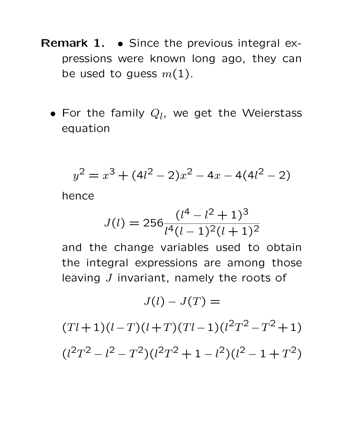- Remark 1. Since the previous integral expressions were known long ago, they can be used to guess  $m(1)$ .
	- For the family  $Q_l$ , we get the Weierstass equation

$$
y^2 = x^3 + (4l^2 - 2)x^2 - 4x - 4(4l^2 - 2)
$$

hence

$$
J(l) = 256 \frac{(l^4 - l^2 + 1)^3}{l^4 (l - 1)^2 (l + 1)^2}
$$

and the change variables used to obtain the integral expressions are among those leaving J invariant, namely the roots of

$$
J(l) - J(T) =
$$

 $(Tl+1)(l-T)(l+T)(Tl-1)(l^2T^2-T^2+1)$  $(l^2T^2 - l^2 - T^2)(l^2T^2 + 1 - l^2)(l^2 - 1 + T^2)$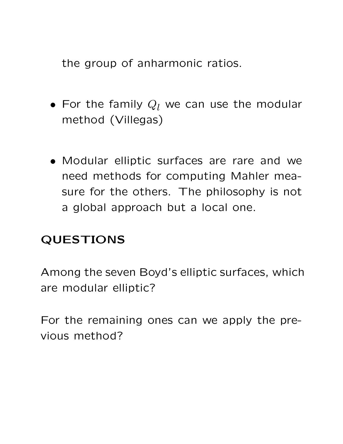the group of anharmonic ratios.

- For the family  $Q_l$  we can use the modular method (Villegas)
- Modular elliptic surfaces are rare and we need methods for computing Mahler measure for the others. The philosophy is not a global approach but a local one.

## QUESTIONS

Among the seven Boyd's elliptic surfaces, which are modular elliptic?

For the remaining ones can we apply the previous method?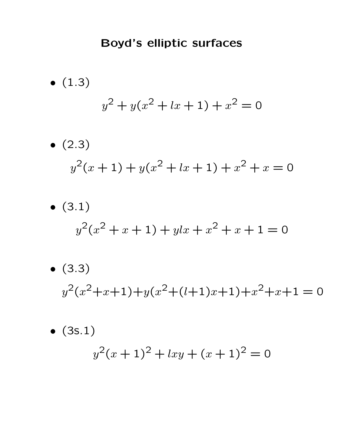# Boyd's elliptic surfaces

\n- (1.3)
\n- $$
y^2 + y(x^2 + lx + 1) + x^2 = 0
$$
\n- (2.3)
\n- $$
y^2(x+1) + y(x^2 + lx + 1) + x^2 + x = 0
$$
\n- (3.1)
\n

$$
y^2(x^2 + x + 1) + y \, dx + x^2 + x + 1 = 0
$$

• (3.3)  

$$
y^2(x^2+x+1)+y(x^2+(l+1)x+1)+x^2+x+1=0
$$

• (3s.1)  

$$
y^2(x+1)^2 + lxy + (x+1)^2 = 0
$$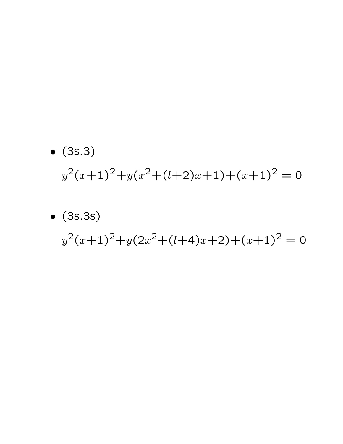- (3s.3)  $y^2(x+1)^2+y(x^2+(l+2)x+1)+(x+1)^2=0$
- (3s.3s)  $y^2(x+1)^2+y(2x^2+(l+4)x+2)+(x+1)^2=0$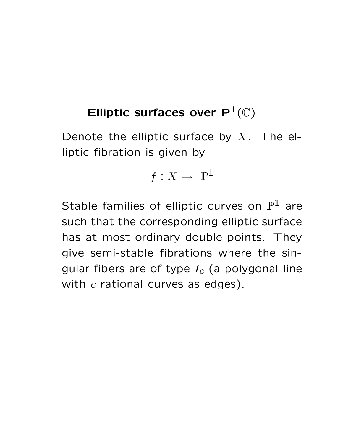# Elliptic surfaces over  $P^1(\mathbb{C})$

Denote the elliptic surface by  $X$ . The elliptic fibration is given by

$$
f:X\to\ \mathbb{P}^1
$$

Stable families of elliptic curves on  $\mathbb{P}^1$  are such that the corresponding elliptic surface has at most ordinary double points. They give semi-stable fibrations where the singular fibers are of type  $I_c$  (a polygonal line with  $c$  rational curves as edges).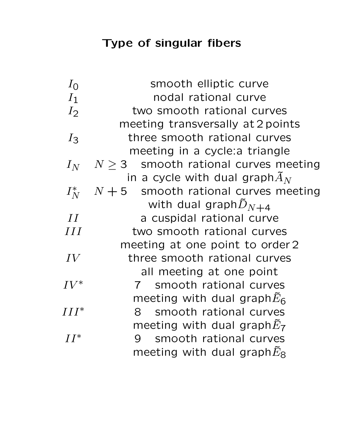# Type of singular fibers

| $I_0$   | smooth elliptic curve                     |
|---------|-------------------------------------------|
| $I_1$   | nodal rational curve                      |
| $I_2$   | two smooth rational curves                |
|         | meeting transversally at 2 points         |
| $I_3$   | three smooth rational curves              |
|         | meeting in a cycle: a triangle            |
| $I_N$   | $N \geq 3$ smooth rational curves meeting |
|         | in a cycle with dual graph $\tilde{A}_N$  |
| $I_N^*$ | $N+5$ smooth rational curves meeting      |
|         | with dual graph $\tilde{D}_{N+4}$         |
| II      | a cuspidal rational curve                 |
| III     | two smooth rational curves                |
|         | meeting at one point to order 2           |
| IV      | three smooth rational curves              |
|         | all meeting at one point                  |
| $IV^*$  | 7 smooth rational curves                  |
|         | meeting with dual graph $\tilde{E}_6$     |
| $III^*$ | 8 smooth rational curves                  |
|         | meeting with dual graph $\tilde{E}_7$     |
| $II^*$  | smooth rational curves<br>9               |
|         | meeting with dual graph $\tilde{E}_8$     |
|         |                                           |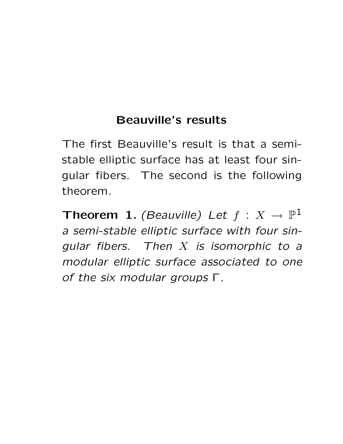## Beauville's results

The first Beauville's result is that a semistable elliptic surface has at least four singular fibers. The second is the following theorem.

Theorem 1. (Beauville) Let  $f: X \to \mathbb{P}^1$ a semi-stable elliptic surface with four sinqular fibers. Then  $X$  is isomorphic to a modular elliptic surface associated to one of the six modular groups Γ.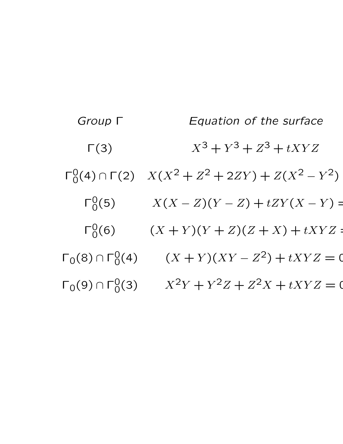Group Γ Fquation of the surface  $\Gamma(3)$   $X^3 + Y^3 + Z^3 + tXYZ$  $\Gamma_0^0(4) \cap \Gamma(2)$   $X(X^2 + Z^2 + 2ZY) + Z(X^2 - Y^2)$  $\Gamma_0^0(5)$   $X(X-Z)(Y-Z)+tZY(X-Y)$  =  $\Gamma_0^0(6)$   $(X + Y)(Y + Z)(Z + X) + tXYZ =$  $\Gamma_0(8) \cap \Gamma_0^0(4)$   $(X + Y)(XY - Z^2) + tXYZ = 0$  $\Gamma_0(9) \cap \Gamma_0^0(3)$   $X^2Y + Y^2Z + Z^2X + tXYZ = 0$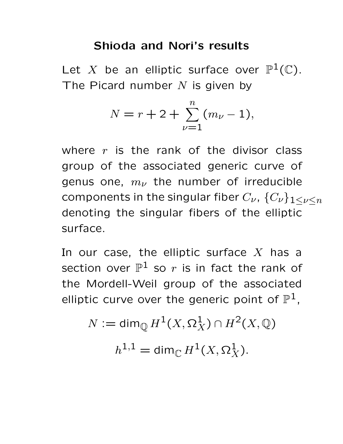#### Shioda and Nori's results

Let X be an elliptic surface over  $\mathbb{P}^1(\mathbb{C})$ . The Picard number  $N$  is given by

$$
N = r + 2 + \sum_{\nu=1}^{n} (m_{\nu} - 1),
$$

where  $r$  is the rank of the divisor class group of the associated generic curve of genus one,  $m_{\nu}$  the number of irreducible components in the singular fiber  $C_{\nu}$ ,  $\{C_{\nu}\}_{1\leq \nu \leq n}$ denoting the singular fibers of the elliptic surface.

In our case, the elliptic surface  $X$  has a section over  $\mathbb{P}^1$  so  $r$  is in fact the rank of the Mordell-Weil group of the associated elliptic curve over the generic point of  $\mathbb{P}^1$ ,

$$
N := \dim_{\mathbb{Q}} H^1(X, \Omega_X^1) \cap H^2(X, \mathbb{Q})
$$

$$
h^{1,1} = \dim_{\mathbb{C}} H^1(X, \Omega_X^1).
$$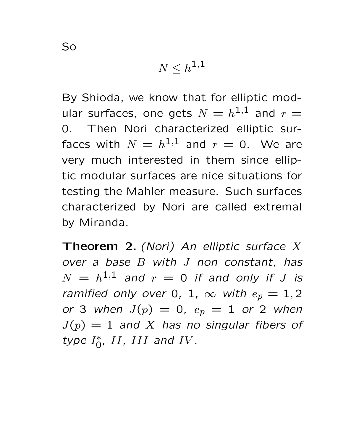$$
N\leq h^{1,1}
$$

By Shioda, we know that for elliptic modular surfaces, one gets  $N = h^{1,1}$  and  $r =$ 0. Then Nori characterized elliptic surfaces with  $N = h^{1,1}$  and  $r = 0$ . We are very much interested in them since elliptic modular surfaces are nice situations for testing the Mahler measure. Such surfaces characterized by Nori are called extremal by Miranda.

**Theorem 2.** (Nori) An elliptic surface  $X$ over a base B with J non constant, has  $N = h^{1,1}$  and  $r = 0$  if and only if  $J$  is ramified only over 0, 1,  $\infty$  with  $e_p = 1, 2$ or 3 when  $J(p) = 0$ ,  $e_p = 1$  or 2 when  $J(p) = 1$  and X has no singular fibers of type  $I_0^*$ , II, III and IV.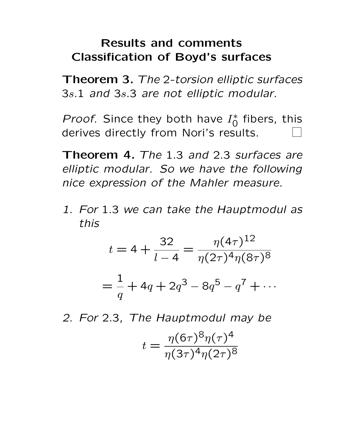### Results and comments Classification of Boyd's surfaces

Theorem 3. The 2-torsion elliptic surfaces 3s.1 and 3s.3 are not elliptic modular.

*Proof.* Since they both have  $I_0^*$  fibers, this derives directly from Nori's results.

Theorem 4. The 1.3 and 2.3 surfaces are elliptic modular. So we have the following nice expression of the Mahler measure.

1. For 1.3 we can take the Hauptmodul as this

$$
t = 4 + \frac{32}{l - 4} = \frac{\eta(4\tau)^{12}}{\eta(2\tau)^{4}\eta(8\tau)^{8}}
$$

$$
= \frac{1}{q} + 4q + 2q^{3} - 8q^{5} - q^{7} + \cdots
$$

2. For 2.3, The Hauptmodul may be

$$
t = \frac{\eta(6\tau)^8 \eta(\tau)^4}{\eta(3\tau)^4 \eta(2\tau)^8}
$$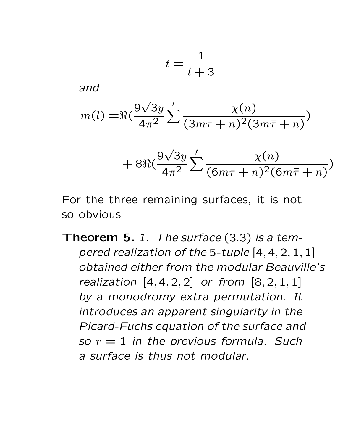$$
t = \frac{1}{l+3}
$$

and

$$
m(l) = \Re(\frac{9\sqrt{3}y}{4\pi^2} \sum' \frac{\chi(n)}{(3m\tau + n)^2(3m\bar{\tau} + n)})
$$

$$
+8\Re\left(\frac{9\sqrt{3}y}{4\pi^2}\sum_{n=1}^{\infty}\frac{\chi(n)}{(6m\tau+n)^2(6m\overline{\tau}+n)}\right)
$$

For the three remaining surfaces, it is not so obvious

Theorem 5. 1. The surface (3.3) is a tempered realization of the 5-tuple [4, 4, 2, 1, 1] obtained either from the modular Beauville's realization  $[4, 4, 2, 2]$  or from  $[8, 2, 1, 1]$ by a monodromy extra permutation. It introduces an apparent singularity in the Picard-Fuchs equation of the surface and so  $r = 1$  in the previous formula. Such a surface is thus not modular.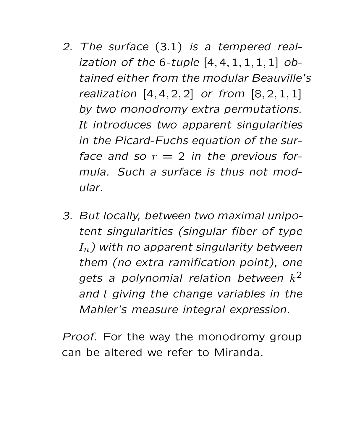- 2. The surface (3.1) is a tempered realization of the 6-tuple  $[4, 4, 1, 1, 1, 1]$  obtained either from the modular Beauville's realization  $[4, 4, 2, 2]$  or from  $[8, 2, 1, 1]$ by two monodromy extra permutations. It introduces two apparent singularities in the Picard-Fuchs equation of the surface and so  $r = 2$  in the previous formula. Such a surface is thus not modular.
- 3. But locally, between two maximal unipotent singularities (singular fiber of type  $I_n$ ) with no apparent singularity between them (no extra ramification point), one gets a polynomial relation between  $k^2$ and l giving the change variables in the Mahler's measure integral expression.

Proof. For the way the monodromy group can be altered we refer to Miranda.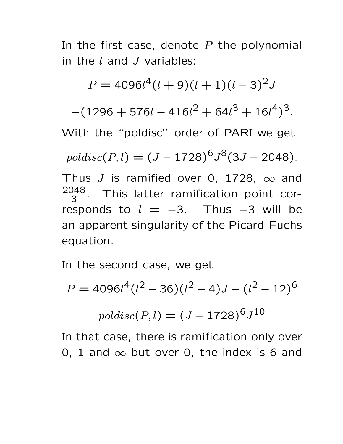In the first case, denote  $P$  the polynomial in the  $l$  and  $J$  variables:

 $P = 4096l^4(l+9)(l+1)(l-3)^2J$  $-(1296 + 576l - 416l^2 + 64l^3 + 16l^4)^3$ . With the "poldisc" order of PARI we get  $poldsc(P, l) = (J - 1728)^6 J^8 (3J - 2048).$ Thus J is ramified over 0, 1728,  $\infty$  and 2048  $\frac{148}{3}$ . This latter ramification point corresponds to  $l = -3$ . Thus  $-3$  will be an apparent singularity of the Picard-Fuchs equation.

In the second case, we get

$$
P = 4096l4(l2 – 36)(l2 – 4)J – (l2 – 12)6
$$
  

$$
poldsc(P, l) = (J – 1728)6J10
$$

In that case, there is ramification only over 0, 1 and  $\infty$  but over 0, the index is 6 and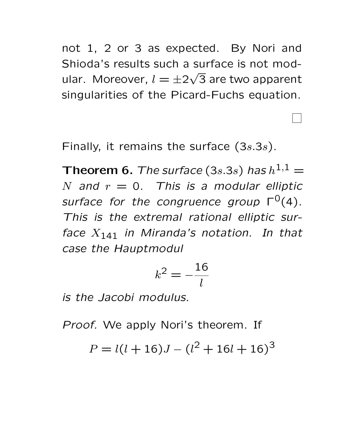not 1, 2 or 3 as expected. By Nori and Shioda's results such a surface is not modular. Moreover,  $l = \pm 2$ √ 3 are two apparent singularities of the Picard-Fuchs equation.

Finally, it remains the surface  $(3s.3s)$ .

**Theorem 6.** The surface (3s.3s) has  $h^{1,1} =$ N and  $r = 0$ . This is a modular elliptic surface for the congruence group  $\Gamma^0(4)$ . This is the extremal rational elliptic surface  $X_{141}$  in Miranda's notation. In that case the Hauptmodul

$$
k^2 = -\frac{16}{l}
$$

is the Jacobi modulus.

Proof. We apply Nori's theorem. If

 $P = l(l + 16)J - (l^2 + 16l + 16)^3$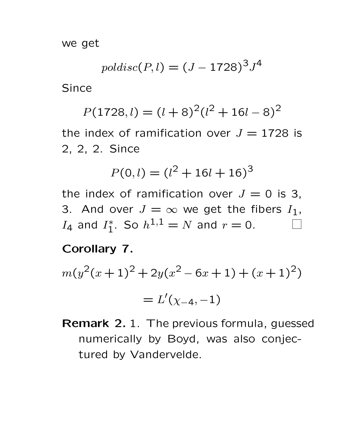we get

$$
poldsc(P, l) = (J - 1728)^3 J^4
$$

Since

$$
P(1728, l) = (l+8)^2 (l^2+16l-8)^2
$$

the index of ramification over  $J = 1728$  is 2, 2, 2. Since

$$
P(0,l) = (l^2 + 16l + 16)^3
$$

the index of ramification over  $J = 0$  is 3, 3. And over  $J = \infty$  we get the fibers  $I_1$ ,  $I_4$  and  $I_1^*$ . So  $h^{1,1} = N$  and  $r = 0$ .

#### Corollary 7.

$$
m(y^2(x+1)^2 + 2y(x^2 - 6x + 1) + (x+1)^2)
$$

$$
=L'(\chi_{-4},-1)
$$

Remark 2.1. The previous formula, guessed numerically by Boyd, was also conjectured by Vandervelde.